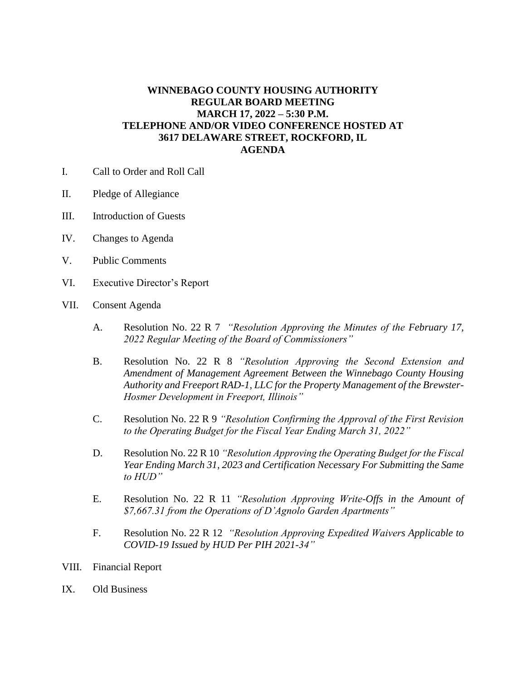## **WINNEBAGO COUNTY HOUSING AUTHORITY REGULAR BOARD MEETING MARCH 17, 2022 – 5:30 P.M. TELEPHONE AND/OR VIDEO CONFERENCE HOSTED AT 3617 DELAWARE STREET, ROCKFORD, IL AGENDA**

- I. Call to Order and Roll Call
- II. Pledge of Allegiance
- III. Introduction of Guests
- IV. Changes to Agenda
- V. Public Comments
- VI. Executive Director's Report
- VII. Consent Agenda
	- A. Resolution No. 22 R 7 *"Resolution Approving the Minutes of the February 17, 2022 Regular Meeting of the Board of Commissioners"*
	- B. Resolution No. 22 R 8 *"Resolution Approving the Second Extension and Amendment of Management Agreement Between the Winnebago County Housing Authority and Freeport RAD-1, LLC for the Property Management of the Brewster-Hosmer Development in Freeport, Illinois"*
	- C. Resolution No. 22 R 9 *"Resolution Confirming the Approval of the First Revision to the Operating Budget for the Fiscal Year Ending March 31, 2022"*
	- D. Resolution No. 22 R 10 *"Resolution Approving the Operating Budget for the Fiscal Year Ending March 31, 2023 and Certification Necessary For Submitting the Same to HUD"*
	- E. Resolution No. 22 R 11 *"Resolution Approving Write-Offs in the Amount of \$7,667.31 from the Operations of D'Agnolo Garden Apartments"*
	- F. Resolution No. 22 R 12 *"Resolution Approving Expedited Waivers Applicable to COVID-19 Issued by HUD Per PIH 2021-34"*
- VIII. Financial Report
- IX. Old Business